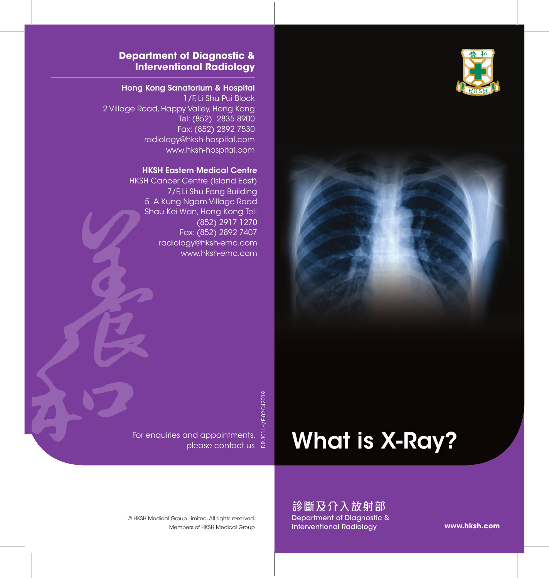



#### **Department of Diagnostic & Interventional Radiology**

#### Hong Kong Sanatorium & Hospital

1/F, Li Shu Pui Block 2 Village Road, Happy Valley, Hong Kong Tel: (852) 2835 8900 Fax: (852) 2892 7530 radiology@hksh-hospital.com www.hksh-hospital.com

#### HKSH Eastern Medical Centre

HKSH Cancer Centre (Island East) 7/F, Li Shu Fong Building 5 A Kung Ngam Village Road Shau Kei Wan, Hong Kong Tel: (852) 2917 1270 Fax: (852) 2892 7407 radiology@hksh-emc.com www.hksh-emc.com

DR.301I.H/E-02-042019

# What is X-Ray?

For enquiries and appointments, please contact us

> 診斷及介入放射部 Department of Diagnostic & Interventional Radiology

**www.hksh.com**

Members of HKSH Medical Group © HKSH Medical Group Limited. All rights reserved.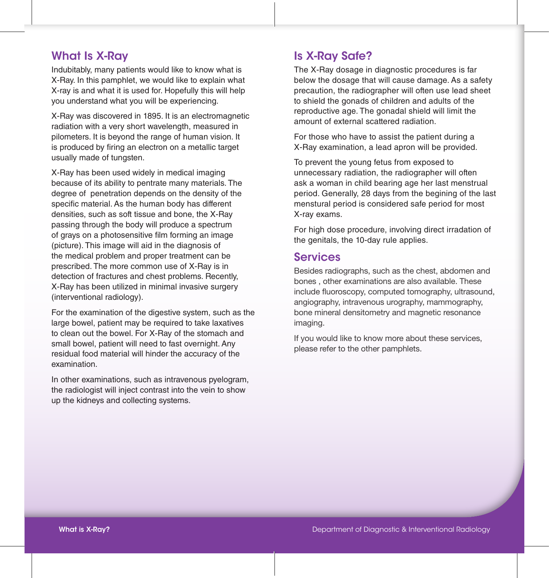## What Is X-Ray

Indubitably, many patients would like to know what is X-Ray. In this pamphlet, we would like to explain what X-ray is and what it is used for. Hopefully this will help you understand what you will be experiencing.

X-Ray was discovered in 1895. It is an electromagnetic radiation with a very short wavelength, measured in pilometers. It is beyond the range of human vision. It is produced by firing an electron on a metallic target usually made of tungsten.

X-Ray has been used widely in medical imaging because of its ability to pentrate many materials. The degree of penetration depends on the density of the specific material. As the human body has different densities, such as soft tissue and bone, the X-Ray passing through the body will produce a spectrum of grays on a photosensitive film forming an image (picture). This image will aid in the diagnosis of the medical problem and proper treatment can be prescribed. The more common use of X-Ray is in detection of fractures and chest problems. Recently, X-Ray has been utilized in minimal invasive surgery (interventional radiology).

For the examination of the digestive system, such as the large bowel, patient may be required to take laxatives to clean out the bowel. For X-Ray of the stomach and small bowel, patient will need to fast overnight. Any residual food material will hinder the accuracy of the examination.

In other examinations, such as intravenous pyelogram, the radiologist will inject contrast into the vein to show up the kidneys and collecting systems.

# Is X-Ray Safe?

The X-Ray dosage in diagnostic procedures is far below the dosage that will cause damage. As a safety precaution, the radiographer will often use lead sheet to shield the gonads of children and adults of the reproductive age. The gonadal shield will limit the amount of external scattered radiation.

For those who have to assist the patient during a X-Ray examination, a lead apron will be provided.

To prevent the young fetus from exposed to unnecessary radiation, the radiographer will often ask a woman in child bearing age her last menstrual period. Generally, 28 days from the begining of the last menstural period is considered safe period for most X-ray exams.

For high dose procedure, involving direct irradation of the genitals, the 10-day rule applies.

### Services

Besides radiographs, such as the chest, abdomen and bones , other examinations are also available. These include fluoroscopy, computed tomography, ultrasound, angiography, intravenous urography, mammography, bone mineral densitometry and magnetic resonance imaging.

If you would like to know more about these services, please refer to the other pamphlets.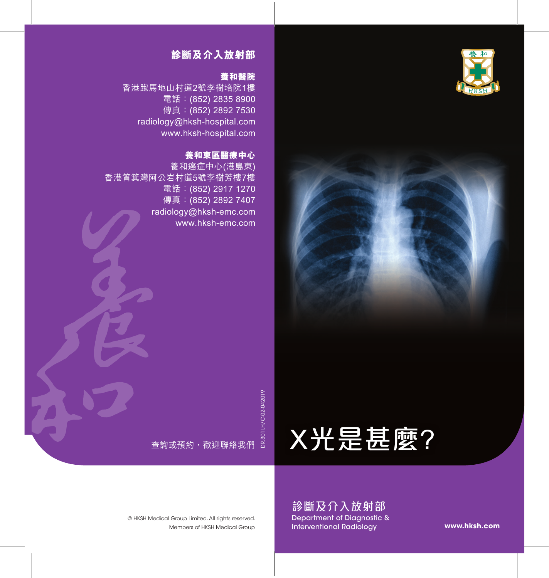



#### **診斷及介入放射部**

#### **養和醫院**

香港跑馬地山村道2號李樹培院1樓 電話:(852) 2835 8900 傳真: (852) 2892 7530 radiology@hksh-hospital.com www.hksh-hospital.com

#### **養和東區醫療中心**

養和癌症中心(港島東) 香港筲箕灣阿公岩村道5號李樹芳樓7樓 電話:(852) 2917 1270 傳真:(852) 2892 7407 radiology@hksh-emc.com www.hksh-emc.com

> 查詢或預約,歡迎聯絡我們 DR.301I.H/C-02-042019

# X光是甚麼?

Members of HKSH Medical Group © HKSH Medical Group Limited. All rights reserved.

診斷及介入放射部 Department of Diagnostic & Interventional Radiology

**www.hksh.com**